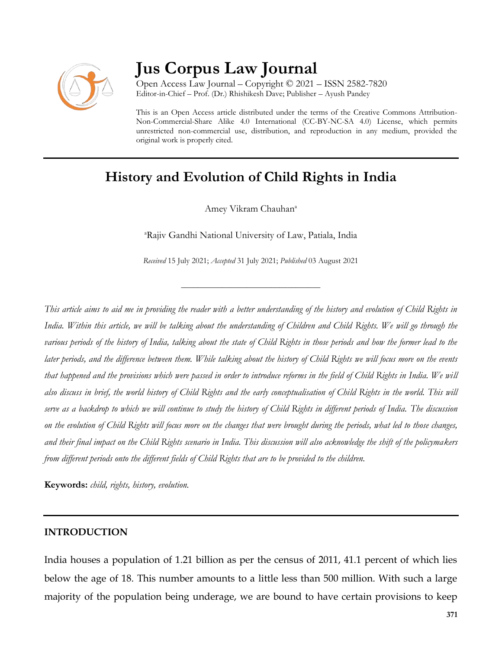

# **Jus Corpus Law Journal**

Open Access Law Journal – Copyright © 2021 – ISSN 2582-7820 Editor-in-Chief – Prof. (Dr.) Rhishikesh Dave; Publisher – Ayush Pandey

This is an Open Access article distributed under the terms of the Creative Commons Attribution-Non-Commercial-Share Alike 4.0 International (CC-BY-NC-SA 4.0) License, which permits unrestricted non-commercial use, distribution, and reproduction in any medium, provided the original work is properly cited.

# **History and Evolution of Child Rights in India**

Amey Vikram Chauhan<sup>a</sup>

<sup>a</sup>Rajiv Gandhi National University of Law, Patiala, India

*Received* 15 July 2021; *Accepted* 31 July 2021; *Published* 03 August 2021

\_\_\_\_\_\_\_\_\_\_\_\_\_\_\_\_\_\_\_\_\_\_\_\_\_\_\_\_\_\_\_\_\_\_

*This article aims to aid me in providing the reader with a better understanding of the history and evolution of Child Rights in*  India. Within this article, we will be talking about the understanding of Children and Child Rights. We will go through the *various periods of the history of India, talking about the state of Child Rights in those periods and how the former lead to the later periods, and the difference between them. While talking about the history of Child Rights we will focus more on the events that happened and the provisions which were passed in order to introduce reforms in the field of Child Rights in India. We will also discuss in brief, the world history of Child Rights and the early conceptualisation of Child Rights in the world. This will serve as a backdrop to which we will continue to study the history of Child Rights in different periods of India. The discussion on the evolution of Child Rights will focus more on the changes that were brought during the periods, what led to those changes, and their final impact on the Child Rights scenario in India. This discussion will also acknowledge the shift of the policymakers from different periods onto the different fields of Child Rights that are to be provided to the children.*

**Keywords:** *child, rights, history, evolution.*

#### **INTRODUCTION**

India houses a population of 1.21 billion as per the census of 2011, 41.1 percent of which lies below the age of 18. This number amounts to a little less than 500 million. With such a large majority of the population being underage, we are bound to have certain provisions to keep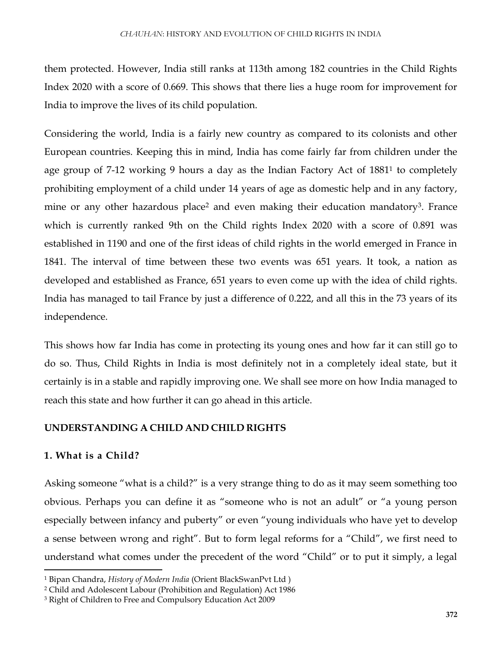them protected. However, India still ranks at 113th among 182 countries in the Child Rights Index 2020 with a score of 0.669. This shows that there lies a huge room for improvement for India to improve the lives of its child population.

Considering the world, India is a fairly new country as compared to its colonists and other European countries. Keeping this in mind, India has come fairly far from children under the age group of 7-12 working 9 hours a day as the Indian Factory Act of 1881<sup>1</sup> to completely prohibiting employment of a child under 14 years of age as domestic help and in any factory, mine or any other hazardous place<sup>2</sup> and even making their education mandatory<sup>3</sup>. France which is currently ranked 9th on the Child rights Index 2020 with a score of 0.891 was established in 1190 and one of the first ideas of child rights in the world emerged in France in 1841. The interval of time between these two events was 651 years. It took, a nation as developed and established as France, 651 years to even come up with the idea of child rights. India has managed to tail France by just a difference of 0.222, and all this in the 73 years of its independence.

This shows how far India has come in protecting its young ones and how far it can still go to do so. Thus, Child Rights in India is most definitely not in a completely ideal state, but it certainly is in a stable and rapidly improving one. We shall see more on how India managed to reach this state and how further it can go ahead in this article.

#### **UNDERSTANDING A CHILD AND CHILD RIGHTS**

#### **1. What is a Child?**

 $\overline{a}$ 

Asking someone "what is a child?" is a very strange thing to do as it may seem something too obvious. Perhaps you can define it as "someone who is not an adult" or "a young person especially between infancy and puberty" or even "young individuals who have yet to develop a sense between wrong and right". But to form legal reforms for a "Child", we first need to understand what comes under the precedent of the word "Child" or to put it simply, a legal

<sup>1</sup> Bipan Chandra, *History of Modern India* (Orient BlackSwanPvt Ltd )

<sup>2</sup> Child and Adolescent Labour (Prohibition and Regulation) Act 1986

<sup>3</sup> Right of Children to Free and Compulsory Education Act 2009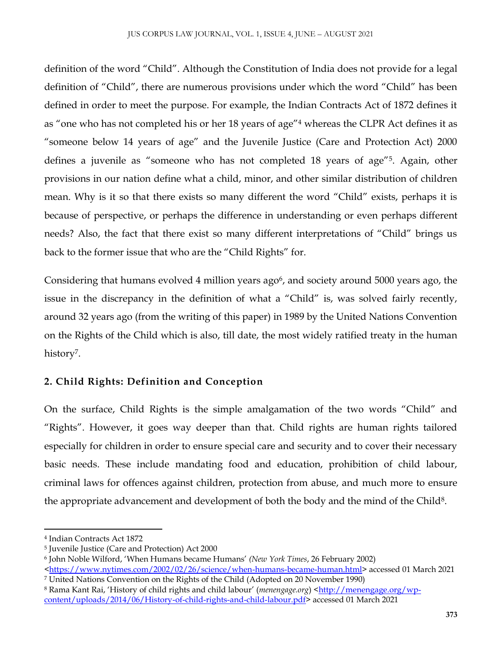definition of the word "Child". Although the Constitution of India does not provide for a legal definition of "Child", there are numerous provisions under which the word "Child" has been defined in order to meet the purpose. For example, the Indian Contracts Act of 1872 defines it as "one who has not completed his or her 18 years of age"<sup>4</sup> whereas the CLPR Act defines it as "someone below 14 years of age" and the Juvenile Justice (Care and Protection Act) 2000 defines a juvenile as "someone who has not completed 18 years of age"5. Again, other provisions in our nation define what a child, minor, and other similar distribution of children mean. Why is it so that there exists so many different the word "Child" exists, perhaps it is because of perspective, or perhaps the difference in understanding or even perhaps different needs? Also, the fact that there exist so many different interpretations of "Child" brings us back to the former issue that who are the "Child Rights" for.

Considering that humans evolved 4 million years ago<sup>6</sup>, and society around 5000 years ago, the issue in the discrepancy in the definition of what a "Child" is, was solved fairly recently, around 32 years ago (from the writing of this paper) in 1989 by the United Nations Convention on the Rights of the Child which is also, till date, the most widely ratified treaty in the human history<sup>7</sup>.

# **2. Child Rights: Definition and Conception**

On the surface, Child Rights is the simple amalgamation of the two words "Child" and "Rights". However, it goes way deeper than that. Child rights are human rights tailored especially for children in order to ensure special care and security and to cover their necessary basic needs. These include mandating food and education, prohibition of child labour, criminal laws for offences against children, protection from abuse, and much more to ensure the appropriate advancement and development of both the body and the mind of the Child8.

 $\overline{\phantom{a}}$ 

<sup>4</sup> Indian Contracts Act 1872

<sup>5</sup> Juvenile Justice (Care and Protection) Act 2000

<sup>6</sup> John Noble Wilford, 'When Humans became Humans' *(New York Times*, 26 February 2002)

[<sup>&</sup>lt;https://www.nytimes.com/2002/02/26/science/when-humans-became-human.html>](https://www.nytimes.com/2002/02/26/science/when-humans-became-human.html) accessed 01 March 2021 <sup>7</sup> United Nations Convention on the Rights of the Child (Adopted on 20 November 1990)

<sup>8</sup> Rama Kant Rai, 'History of child rights and child labour' (*menengage.org*) [<http://menengage.org/wp](http://menengage.org/wp-content/uploads/2014/06/History-of-child-rights-and-child-labour.pdf)[content/uploads/2014/06/History-of-child-rights-and-child-labour.pdf>](http://menengage.org/wp-content/uploads/2014/06/History-of-child-rights-and-child-labour.pdf) accessed 01 March 2021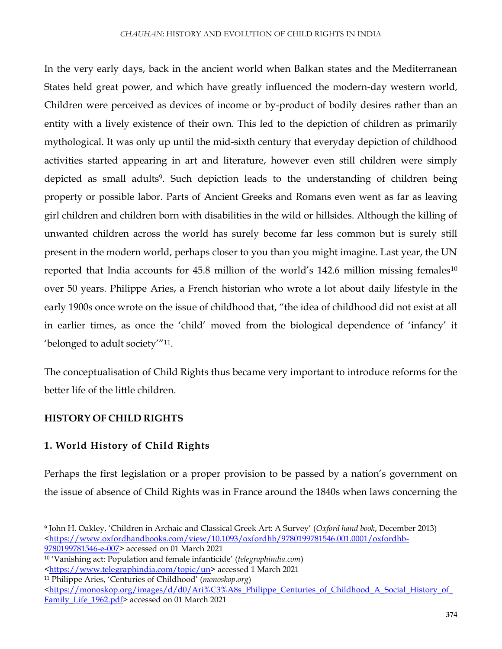In the very early days, back in the ancient world when Balkan states and the Mediterranean States held great power, and which have greatly influenced the modern-day western world, Children were perceived as devices of income or by-product of bodily desires rather than an entity with a lively existence of their own. This led to the depiction of children as primarily mythological. It was only up until the mid-sixth century that everyday depiction of childhood activities started appearing in art and literature, however even still children were simply depicted as small adults<sup>9</sup>. Such depiction leads to the understanding of children being property or possible labor. Parts of Ancient Greeks and Romans even went as far as leaving girl children and children born with disabilities in the wild or hillsides. Although the killing of unwanted children across the world has surely become far less common but is surely still present in the modern world, perhaps closer to you than you might imagine. Last year, the UN reported that India accounts for 45.8 million of the world's 142.6 million missing females<sup>10</sup> over 50 years. Philippe Aries, a French historian who wrote a lot about daily lifestyle in the early 1900s once wrote on the issue of childhood that, "the idea of childhood did not exist at all in earlier times, as once the 'child' moved from the biological dependence of 'infancy' it 'belonged to adult society'"11.

The conceptualisation of Child Rights thus became very important to introduce reforms for the better life of the little children.

# **HISTORY OF CHILD RIGHTS**

 $\overline{\phantom{a}}$ 

# **1. World History of Child Rights**

Perhaps the first legislation or a proper provision to be passed by a nation's government on the issue of absence of Child Rights was in France around the 1840s when laws concerning the

<sup>9</sup> John H. Oakley, 'Children in Archaic and Classical Greek Art: A Survey' (*Oxford hand book*, December 2013) [<https://www.oxfordhandbooks.com/view/10.1093/oxfordhb/9780199781546.001.0001/oxfordhb-](https://www.oxfordhandbooks.com/view/10.1093/oxfordhb/9780199781546.001.0001/oxfordhb-9780199781546-e-007)[9780199781546-e-007>](https://www.oxfordhandbooks.com/view/10.1093/oxfordhb/9780199781546.001.0001/oxfordhb-9780199781546-e-007) accessed on 01 March 2021

<sup>10</sup> 'Vanishing act: Population and female infanticide' (*telegraphindia.com*)

[<sup>&</sup>lt;https://www.telegraphindia.com/topic/un>](https://www.telegraphindia.com/topic/un) accessed 1 March 2021

<sup>11</sup> Philippe Aries, 'Centuries of Childhood' (*monoskop.org*)

[<sup>&</sup>lt;https://monoskop.org/images/d/d0/Ari%C3%A8s\\_Philippe\\_Centuries\\_of\\_Childhood\\_A\\_Social\\_History\\_of\\_](https://monoskop.org/images/d/d0/Ari%C3%A8s_Philippe_Centuries_of_Childhood_A_Social_History_of_Family_Life_1962.pdf) [Family\\_Life\\_1962.pdf>](https://monoskop.org/images/d/d0/Ari%C3%A8s_Philippe_Centuries_of_Childhood_A_Social_History_of_Family_Life_1962.pdf) accessed on 01 March 2021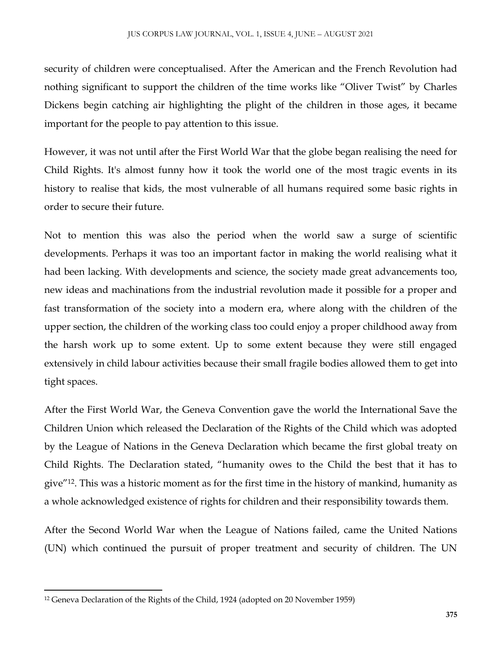security of children were conceptualised. After the American and the French Revolution had nothing significant to support the children of the time works like "Oliver Twist" by Charles Dickens begin catching air highlighting the plight of the children in those ages, it became important for the people to pay attention to this issue.

However, it was not until after the First World War that the globe began realising the need for Child Rights. It's almost funny how it took the world one of the most tragic events in its history to realise that kids, the most vulnerable of all humans required some basic rights in order to secure their future.

Not to mention this was also the period when the world saw a surge of scientific developments. Perhaps it was too an important factor in making the world realising what it had been lacking. With developments and science, the society made great advancements too, new ideas and machinations from the industrial revolution made it possible for a proper and fast transformation of the society into a modern era, where along with the children of the upper section, the children of the working class too could enjoy a proper childhood away from the harsh work up to some extent. Up to some extent because they were still engaged extensively in child labour activities because their small fragile bodies allowed them to get into tight spaces.

After the First World War, the Geneva Convention gave the world the International Save the Children Union which released the Declaration of the Rights of the Child which was adopted by the League of Nations in the Geneva Declaration which became the first global treaty on Child Rights. The Declaration stated, "humanity owes to the Child the best that it has to give"12. This was a historic moment as for the first time in the history of mankind, humanity as a whole acknowledged existence of rights for children and their responsibility towards them.

After the Second World War when the League of Nations failed, came the United Nations (UN) which continued the pursuit of proper treatment and security of children. The UN

l

<sup>12</sup> Geneva Declaration of the Rights of the Child, 1924 (adopted on 20 November 1959)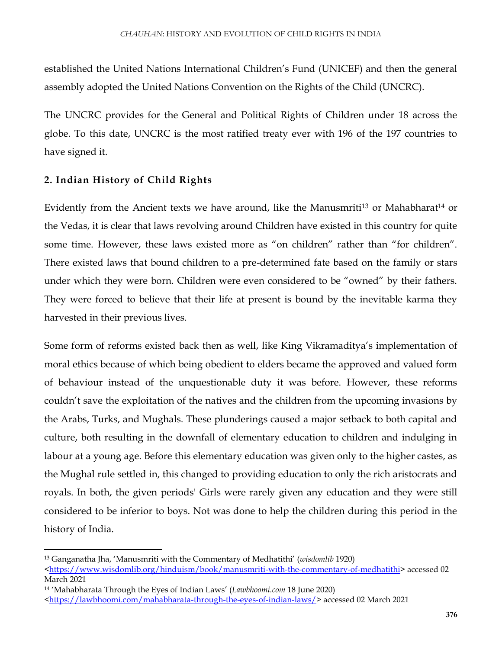established the United Nations International Children's Fund (UNICEF) and then the general assembly adopted the United Nations Convention on the Rights of the Child (UNCRC).

The UNCRC provides for the General and Political Rights of Children under 18 across the globe. To this date, UNCRC is the most ratified treaty ever with 196 of the 197 countries to have signed it.

#### **2. Indian History of Child Rights**

Evidently from the Ancient texts we have around, like the Manusmriti<sup>13</sup> or Mahabharat<sup>14</sup> or the Vedas, it is clear that laws revolving around Children have existed in this country for quite some time. However, these laws existed more as "on children" rather than "for children". There existed laws that bound children to a pre-determined fate based on the family or stars under which they were born. Children were even considered to be "owned" by their fathers. They were forced to believe that their life at present is bound by the inevitable karma they harvested in their previous lives.

Some form of reforms existed back then as well, like King Vikramaditya's implementation of moral ethics because of which being obedient to elders became the approved and valued form of behaviour instead of the unquestionable duty it was before. However, these reforms couldn't save the exploitation of the natives and the children from the upcoming invasions by the Arabs, Turks, and Mughals. These plunderings caused a major setback to both capital and culture, both resulting in the downfall of elementary education to children and indulging in labour at a young age. Before this elementary education was given only to the higher castes, as the Mughal rule settled in, this changed to providing education to only the rich aristocrats and royals. In both, the given periods' Girls were rarely given any education and they were still considered to be inferior to boys. Not was done to help the children during this period in the history of India.

 $\overline{\phantom{a}}$ 

<sup>13</sup> Ganganatha Jha, 'Manusmriti with the Commentary of Medhatithi' (*wisdomlib* 1920)

[<sup>&</sup>lt;https://www.wisdomlib.org/hinduism/book/manusmriti-with-the-commentary-of-medhatithi>](https://www.wisdomlib.org/hinduism/book/manusmriti-with-the-commentary-of-medhatithi) accessed 02 March 2021

<sup>14</sup> 'Mahabharata Through the Eyes of Indian Laws' (*Lawbhoomi.com* 18 June 2020)

[<sup>&</sup>lt;https://lawbhoomi.com/mahabharata-through-the-eyes-of-indian-laws/>](https://lawbhoomi.com/mahabharata-through-the-eyes-of-indian-laws/) accessed 02 March 2021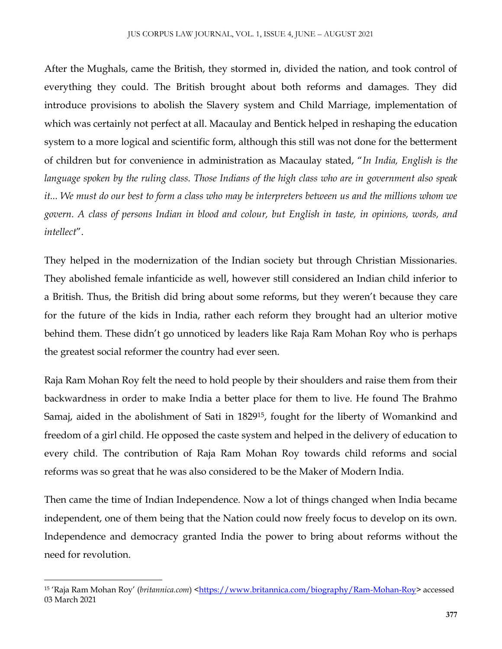After the Mughals, came the British, they stormed in, divided the nation, and took control of everything they could. The British brought about both reforms and damages. They did introduce provisions to abolish the Slavery system and Child Marriage, implementation of which was certainly not perfect at all. Macaulay and Bentick helped in reshaping the education system to a more logical and scientific form, although this still was not done for the betterment of children but for convenience in administration as Macaulay stated, "*In India, English is the language spoken by the ruling class. Those Indians of the high class who are in government also speak it... We must do our best to form a class who may be interpreters between us and the millions whom we govern. A class of persons Indian in blood and colour, but English in taste, in opinions, words, and intellect*".

They helped in the modernization of the Indian society but through Christian Missionaries. They abolished female infanticide as well, however still considered an Indian child inferior to a British. Thus, the British did bring about some reforms, but they weren't because they care for the future of the kids in India, rather each reform they brought had an ulterior motive behind them. These didn't go unnoticed by leaders like Raja Ram Mohan Roy who is perhaps the greatest social reformer the country had ever seen.

Raja Ram Mohan Roy felt the need to hold people by their shoulders and raise them from their backwardness in order to make India a better place for them to live. He found The Brahmo Samaj, aided in the abolishment of Sati in 182915, fought for the liberty of Womankind and freedom of a girl child. He opposed the caste system and helped in the delivery of education to every child. The contribution of Raja Ram Mohan Roy towards child reforms and social reforms was so great that he was also considered to be the Maker of Modern India.

Then came the time of Indian Independence. Now a lot of things changed when India became independent, one of them being that the Nation could now freely focus to develop on its own. Independence and democracy granted India the power to bring about reforms without the need for revolution.

l <sup>15</sup> 'Raja Ram Mohan Roy' *(britannica.com)* <<u>https://www.britannica.com/biography/Ram-Mohan-Roy</u>> accessed 03 March 2021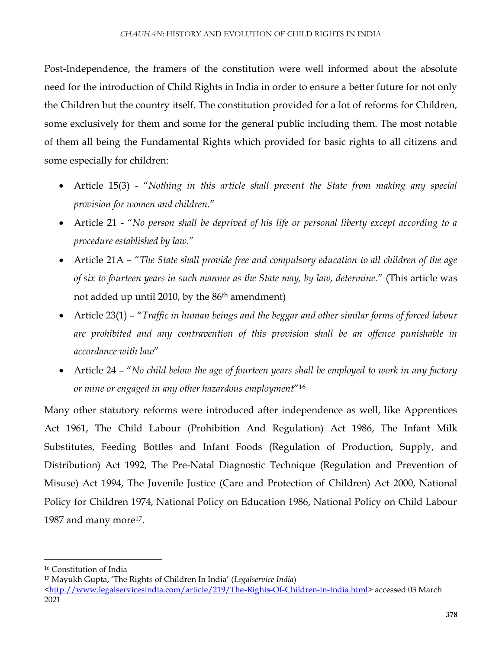Post-Independence, the framers of the constitution were well informed about the absolute need for the introduction of Child Rights in India in order to ensure a better future for not only the Children but the country itself. The constitution provided for a lot of reforms for Children, some exclusively for them and some for the general public including them. The most notable of them all being the Fundamental Rights which provided for basic rights to all citizens and some especially for children:

- Article 15(3) "*Nothing in this article shall prevent the State from making any special provision for women and children.*"
- Article 21 "*No person shall be deprived of his life or personal liberty except according to a procedure established by law.*"
- Article 21A "*The State shall provide free and compulsory education to all children of the age of six to fourteen years in such manner as the State may, by law, determine.*" (This article was not added up until 2010, by the 86<sup>th</sup> amendment)
- Article 23(1) "*Traffic in human beings and the beggar and other similar forms of forced labour are prohibited and any contravention of this provision shall be an offence punishable in accordance with law*"
- Article 24 "*No child below the age of fourteen years shall be employed to work in any factory or mine or engaged in any other hazardous employment*"<sup>16</sup>

Many other statutory reforms were introduced after independence as well, like Apprentices Act 1961, The Child Labour (Prohibition And Regulation) Act 1986, The Infant Milk Substitutes, Feeding Bottles and Infant Foods (Regulation of Production, Supply, and Distribution) Act 1992, The Pre-Natal Diagnostic Technique (Regulation and Prevention of Misuse) Act 1994, The Juvenile Justice (Care and Protection of Children) Act 2000, National Policy for Children 1974, National Policy on Education 1986, National Policy on Child Labour 1987 and many more<sup>17</sup>.

 $\overline{a}$ 

<sup>16</sup> Constitution of India

<sup>17</sup> Mayukh Gupta, 'The Rights of Children In India' (*Legalservice India*)

[<sup>&</sup>lt;http://www.legalservicesindia.com/article/219/The-Rights-Of-Children-in-India.html>](http://www.legalservicesindia.com/article/219/The-Rights-Of-Children-in-India.html) accessed 03 March 2021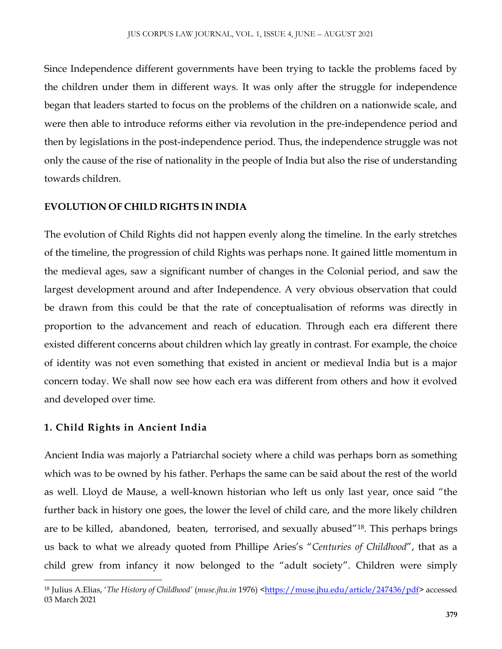Since Independence different governments have been trying to tackle the problems faced by the children under them in different ways. It was only after the struggle for independence began that leaders started to focus on the problems of the children on a nationwide scale, and were then able to introduce reforms either via revolution in the pre-independence period and then by legislations in the post-independence period. Thus, the independence struggle was not only the cause of the rise of nationality in the people of India but also the rise of understanding towards children.

#### **EVOLUTION OF CHILD RIGHTS IN INDIA**

The evolution of Child Rights did not happen evenly along the timeline. In the early stretches of the timeline, the progression of child Rights was perhaps none. It gained little momentum in the medieval ages, saw a significant number of changes in the Colonial period, and saw the largest development around and after Independence. A very obvious observation that could be drawn from this could be that the rate of conceptualisation of reforms was directly in proportion to the advancement and reach of education. Through each era different there existed different concerns about children which lay greatly in contrast. For example, the choice of identity was not even something that existed in ancient or medieval India but is a major concern today. We shall now see how each era was different from others and how it evolved and developed over time.

#### **1. Child Rights in Ancient India**

l

Ancient India was majorly a Patriarchal society where a child was perhaps born as something which was to be owned by his father. Perhaps the same can be said about the rest of the world as well. Lloyd de Mause, a well-known historian who left us only last year, once said "the further back in history one goes, the lower the level of child care, and the more likely children are to be killed, abandoned, beaten, terrorised, and sexually abused"18. This perhaps brings us back to what we already quoted from Phillipe Aries's "*Centuries of Childhood*", that as a child grew from infancy it now belonged to the "adult society". Children were simply

<sup>&</sup>lt;sup>18</sup> Julius A.Elias, '*The History of Childhood'* (*muse.jhu.in* 1976) [<https://muse.jhu.edu/article/247436/pdf>](https://muse.jhu.edu/article/247436/pdf) accessed 03 March 2021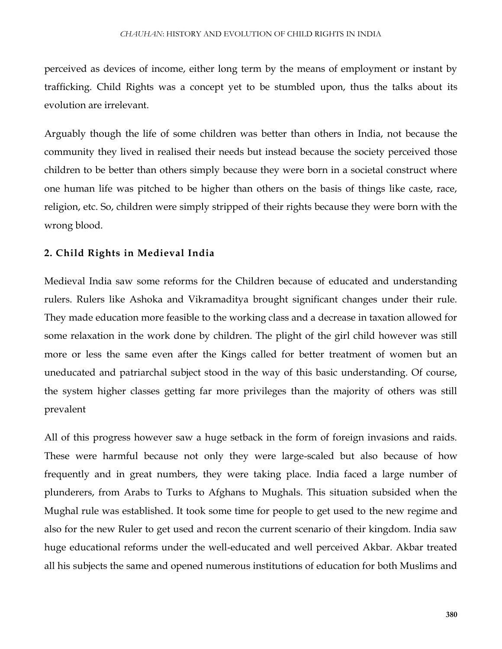perceived as devices of income, either long term by the means of employment or instant by trafficking. Child Rights was a concept yet to be stumbled upon, thus the talks about its evolution are irrelevant.

Arguably though the life of some children was better than others in India, not because the community they lived in realised their needs but instead because the society perceived those children to be better than others simply because they were born in a societal construct where one human life was pitched to be higher than others on the basis of things like caste, race, religion, etc. So, children were simply stripped of their rights because they were born with the wrong blood.

#### **2. Child Rights in Medieval India**

Medieval India saw some reforms for the Children because of educated and understanding rulers. Rulers like Ashoka and Vikramaditya brought significant changes under their rule. They made education more feasible to the working class and a decrease in taxation allowed for some relaxation in the work done by children. The plight of the girl child however was still more or less the same even after the Kings called for better treatment of women but an uneducated and patriarchal subject stood in the way of this basic understanding. Of course, the system higher classes getting far more privileges than the majority of others was still prevalent

All of this progress however saw a huge setback in the form of foreign invasions and raids. These were harmful because not only they were large-scaled but also because of how frequently and in great numbers, they were taking place. India faced a large number of plunderers, from Arabs to Turks to Afghans to Mughals. This situation subsided when the Mughal rule was established. It took some time for people to get used to the new regime and also for the new Ruler to get used and recon the current scenario of their kingdom. India saw huge educational reforms under the well-educated and well perceived Akbar. Akbar treated all his subjects the same and opened numerous institutions of education for both Muslims and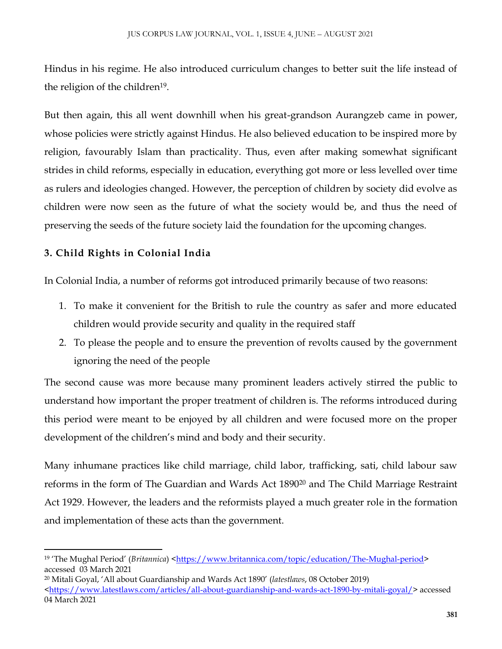Hindus in his regime. He also introduced curriculum changes to better suit the life instead of the religion of the children<sup>19</sup>.

But then again, this all went downhill when his great-grandson Aurangzeb came in power, whose policies were strictly against Hindus. He also believed education to be inspired more by religion, favourably Islam than practicality. Thus, even after making somewhat significant strides in child reforms, especially in education, everything got more or less levelled over time as rulers and ideologies changed. However, the perception of children by society did evolve as children were now seen as the future of what the society would be, and thus the need of preserving the seeds of the future society laid the foundation for the upcoming changes.

### **3. Child Rights in Colonial India**

 $\overline{\phantom{a}}$ 

In Colonial India, a number of reforms got introduced primarily because of two reasons:

- 1. To make it convenient for the British to rule the country as safer and more educated children would provide security and quality in the required staff
- 2. To please the people and to ensure the prevention of revolts caused by the government ignoring the need of the people

The second cause was more because many prominent leaders actively stirred the public to understand how important the proper treatment of children is. The reforms introduced during this period were meant to be enjoyed by all children and were focused more on the proper development of the children's mind and body and their security.

Many inhumane practices like child marriage, child labor, trafficking, sati, child labour saw reforms in the form of The Guardian and Wards Act 1890<sup>20</sup> and The Child Marriage Restraint Act 1929. However, the leaders and the reformists played a much greater role in the formation and implementation of these acts than the government.

<sup>&</sup>lt;sup>19</sup> 'The Mughal Period' (*Britannica*) [<https://www.britannica.com/topic/education/The-Mughal-period>](https://www.britannica.com/topic/education/The-Mughal-period) accessed 03 March 2021

<sup>20</sup> Mitali Goyal, 'All about Guardianship and Wards Act 1890' (*latestlaws*, 08 October 2019) [<https://www.latestlaws.com/articles/all-about-guardianship-and-wards-act-1890-by-mitali-goyal/>](https://www.latestlaws.com/articles/all-about-guardianship-and-wards-act-1890-by-mitali-goyal/) accessed 04 March 2021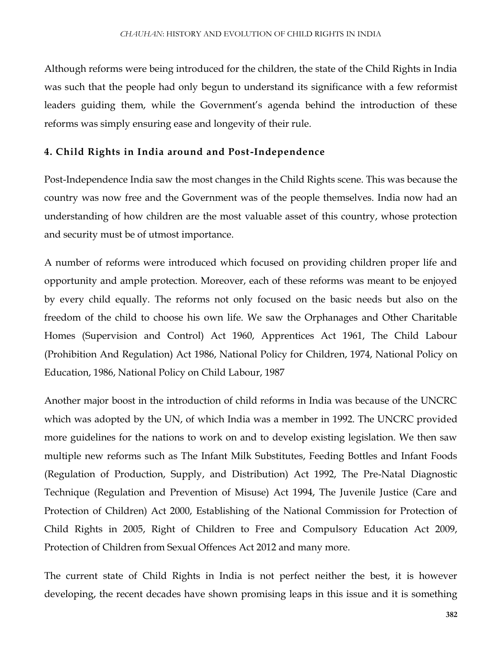Although reforms were being introduced for the children, the state of the Child Rights in India was such that the people had only begun to understand its significance with a few reformist leaders guiding them, while the Government's agenda behind the introduction of these reforms was simply ensuring ease and longevity of their rule.

#### **4. Child Rights in India around and Post-Independence**

Post-Independence India saw the most changes in the Child Rights scene. This was because the country was now free and the Government was of the people themselves. India now had an understanding of how children are the most valuable asset of this country, whose protection and security must be of utmost importance.

A number of reforms were introduced which focused on providing children proper life and opportunity and ample protection. Moreover, each of these reforms was meant to be enjoyed by every child equally. The reforms not only focused on the basic needs but also on the freedom of the child to choose his own life. We saw the Orphanages and Other Charitable Homes (Supervision and Control) Act 1960, Apprentices Act 1961, The Child Labour (Prohibition And Regulation) Act 1986, National Policy for Children, 1974, National Policy on Education, 1986, National Policy on Child Labour, 1987

Another major boost in the introduction of child reforms in India was because of the UNCRC which was adopted by the UN, of which India was a member in 1992. The UNCRC provided more guidelines for the nations to work on and to develop existing legislation. We then saw multiple new reforms such as The Infant Milk Substitutes, Feeding Bottles and Infant Foods (Regulation of Production, Supply, and Distribution) Act 1992, The Pre-Natal Diagnostic Technique (Regulation and Prevention of Misuse) Act 1994, The Juvenile Justice (Care and Protection of Children) Act 2000, Establishing of the National Commission for Protection of Child Rights in 2005, Right of Children to Free and Compulsory Education Act 2009, Protection of Children from Sexual Offences Act 2012 and many more.

The current state of Child Rights in India is not perfect neither the best, it is however developing, the recent decades have shown promising leaps in this issue and it is something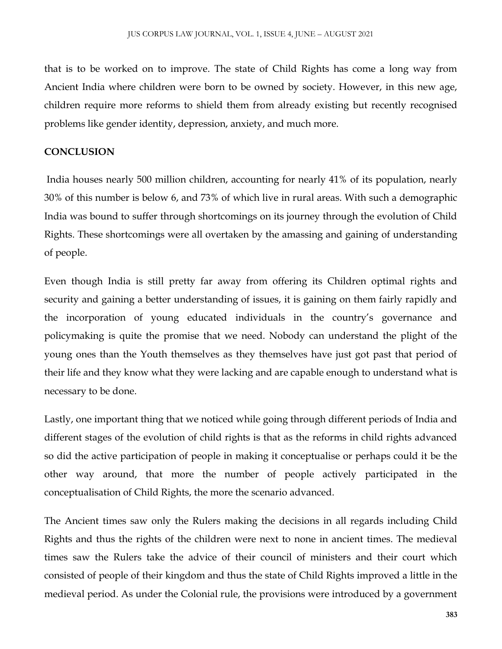that is to be worked on to improve. The state of Child Rights has come a long way from Ancient India where children were born to be owned by society. However, in this new age, children require more reforms to shield them from already existing but recently recognised problems like gender identity, depression, anxiety, and much more.

#### **CONCLUSION**

India houses nearly 500 million children, accounting for nearly 41% of its population, nearly 30% of this number is below 6, and 73% of which live in rural areas. With such a demographic India was bound to suffer through shortcomings on its journey through the evolution of Child Rights. These shortcomings were all overtaken by the amassing and gaining of understanding of people.

Even though India is still pretty far away from offering its Children optimal rights and security and gaining a better understanding of issues, it is gaining on them fairly rapidly and the incorporation of young educated individuals in the country's governance and policymaking is quite the promise that we need. Nobody can understand the plight of the young ones than the Youth themselves as they themselves have just got past that period of their life and they know what they were lacking and are capable enough to understand what is necessary to be done.

Lastly, one important thing that we noticed while going through different periods of India and different stages of the evolution of child rights is that as the reforms in child rights advanced so did the active participation of people in making it conceptualise or perhaps could it be the other way around, that more the number of people actively participated in the conceptualisation of Child Rights, the more the scenario advanced.

The Ancient times saw only the Rulers making the decisions in all regards including Child Rights and thus the rights of the children were next to none in ancient times. The medieval times saw the Rulers take the advice of their council of ministers and their court which consisted of people of their kingdom and thus the state of Child Rights improved a little in the medieval period. As under the Colonial rule, the provisions were introduced by a government